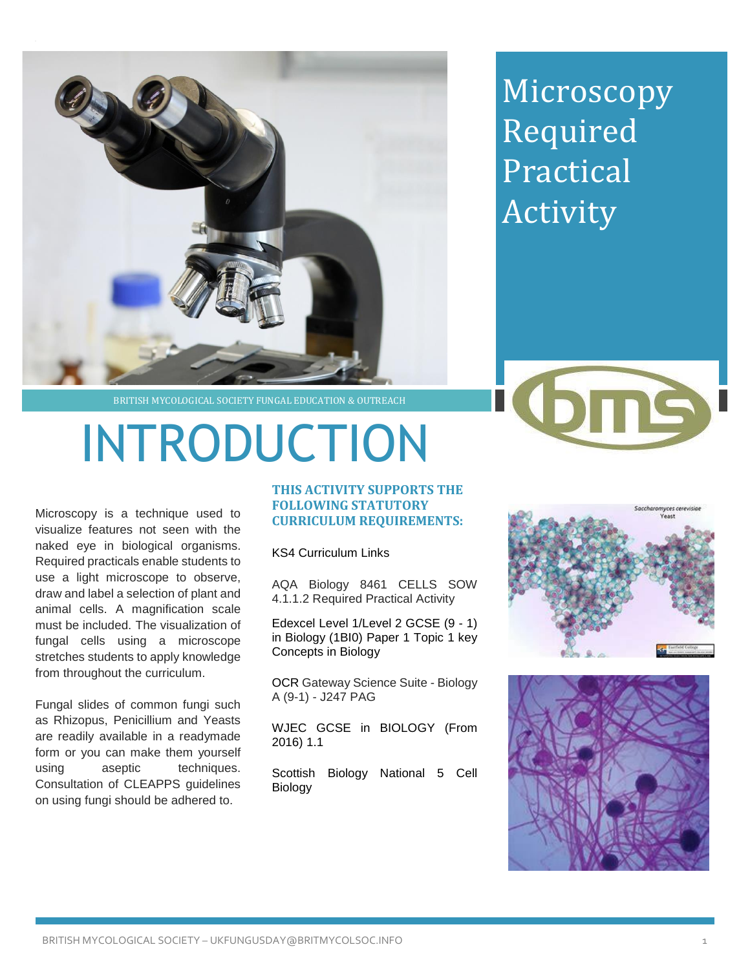

Microscopy Required Practical Activity

BRITISH MYCOLOGICAL SOCIETY FUNGAL EDUCATION & OUTREACH

## INTRODUCTION

Microscopy is a technique used to visualize features not seen with the naked eye in biological organisms. Required practicals enable students to use a light microscope to observe, draw and label a selection of plant and animal cells. A magnification scale must be included. The visualization of fungal cells using a microscope stretches students to apply knowledge from throughout the curriculum.

Fungal slides of common fungi such as Rhizopus, Penicillium and Yeasts are readily available in a readymade form or you can make them yourself using aseptic techniques. Consultation of CLEAPPS guidelines on using fungi should be adhered to.

## **THIS ACTIVITY SUPPORTS THE FOLLOWING STATUTORY CURRICULUM REQUIREMENTS:**

KS4 Curriculum Links

AQA Biology 8461 CELLS SOW 4.1.1.2 Required Practical Activity

Edexcel Level 1/Level 2 GCSE (9 - 1) in Biology (1BI0) Paper 1 Topic 1 key Concepts in Biology

OCR Gateway Science Suite - Biology A (9-1) - J247 PAG

WJEC GCSE in BIOLOGY (From 2016) 1.1

Scottish Biology National 5 Cell Biology